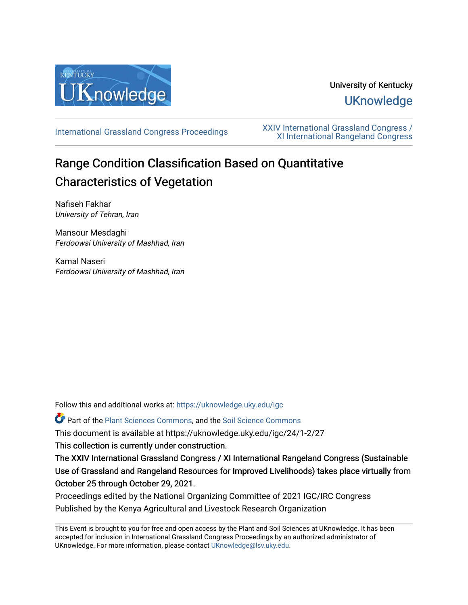

# University of Kentucky **UKnowledge**

[International Grassland Congress Proceedings](https://uknowledge.uky.edu/igc) [XXIV International Grassland Congress /](https://uknowledge.uky.edu/igc/24)  [XI International Rangeland Congress](https://uknowledge.uky.edu/igc/24) 

# Range Condition Classification Based on Quantitative Characteristics of Vegetation

Nafiseh Fakhar University of Tehran, Iran

Mansour Mesdaghi Ferdoowsi University of Mashhad, Iran

Kamal Naseri Ferdoowsi University of Mashhad, Iran

Follow this and additional works at: [https://uknowledge.uky.edu/igc](https://uknowledge.uky.edu/igc?utm_source=uknowledge.uky.edu%2Figc%2F24%2F1-2%2F27&utm_medium=PDF&utm_campaign=PDFCoverPages) 

Part of the [Plant Sciences Commons](http://network.bepress.com/hgg/discipline/102?utm_source=uknowledge.uky.edu%2Figc%2F24%2F1-2%2F27&utm_medium=PDF&utm_campaign=PDFCoverPages), and the [Soil Science Commons](http://network.bepress.com/hgg/discipline/163?utm_source=uknowledge.uky.edu%2Figc%2F24%2F1-2%2F27&utm_medium=PDF&utm_campaign=PDFCoverPages) 

This document is available at https://uknowledge.uky.edu/igc/24/1-2/27

This collection is currently under construction.

The XXIV International Grassland Congress / XI International Rangeland Congress (Sustainable Use of Grassland and Rangeland Resources for Improved Livelihoods) takes place virtually from October 25 through October 29, 2021.

Proceedings edited by the National Organizing Committee of 2021 IGC/IRC Congress Published by the Kenya Agricultural and Livestock Research Organization

This Event is brought to you for free and open access by the Plant and Soil Sciences at UKnowledge. It has been accepted for inclusion in International Grassland Congress Proceedings by an authorized administrator of UKnowledge. For more information, please contact [UKnowledge@lsv.uky.edu](mailto:UKnowledge@lsv.uky.edu).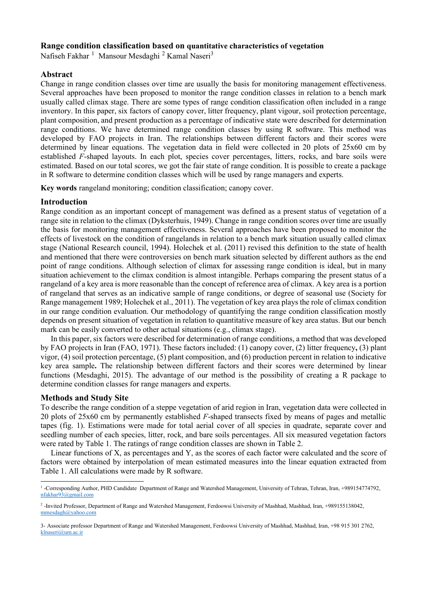### **Range condition classification based on quantitative characteristics of vegetation**

Nafiseh Fakhar<sup>[1](#page-1-0)</sup> Mansour Mesdaghi<sup>[2](#page-1-1)</sup> Kamal Naseri<sup>3</sup>

#### **Abstract**

Change in range condition classes over time are usually the basis for monitoring management effectiveness. Several approaches have been proposed to monitor the range condition classes in relation to a bench mark usually called climax stage. There are some types of range condition classification often included in a range inventory. In this paper, six factors of canopy cover, litter frequency, plant vigour, soil protection percentage, plant composition, and present production as a percentage of indicative state were described for determination range conditions. We have determined range condition classes by using R software. This method was developed by FAO projects in Iran. The relationships between different factors and their scores were determined by linear equations. The vegetation data in field were collected in 20 plots of 25x60 cm by established *F*-shaped layouts. In each plot, species cover percentages, litters, rocks, and bare soils were estimated. Based on our total scores, we got the fair state of range condition. It is possible to create a package in R software to determine condition classes which will be used by range managers and experts.

**Key words** rangeland monitoring; condition classification; canopy cover.

#### **Introduction**

Range condition as an important concept of management was defined as a present status of vegetation of a range site in relation to the climax (Dyksterhuis, 1949). Change in range condition scores over time are usually the basis for monitoring management effectiveness. Several approaches have been proposed to monitor the effects of livestock on the condition of rangelands in relation to a bench mark situation usually called climax stage (National Research council, 1994). Holechek et al. (2011) revised this definition to the state of health and mentioned that there were controversies on bench mark situation selected by different authors as the end point of range conditions. Although selection of climax for assessing range condition is ideal, but in many situation achievement to the climax condition is almost intangible. Perhaps comparing the present status of a rangeland of a key area is more reasonable than the concept of reference area of climax. A key area is a portion of rangeland that serves as an indicative sample of range conditions, or degree of seasonal use (Society for Range management 1989; Holechek et al., 2011). The vegetation of key area plays the role of climax condition in our range condition evaluation. Our methodology of quantifying the range condition classification mostly depends on present situation of vegetation in relation to quantitative measure of key area status. But our bench mark can be easily converted to other actual situations (e.g., climax stage).

In this paper, six factors were described for determination of range conditions, a method that was developed by FAO projects in Iran (FAO, 1971). These factors included: (1) canopy cover, (2) litter frequency**,** (3) plant vigor, (4) soil protection percentage, (5) plant composition, and (6) production percent in relation to indicative key area sample**.** The relationship between different factors and their scores were determined by linear functions (Mesdaghi, 2015). The advantage of our method is the possibility of creating a R package to determine condition classes for range managers and experts.

## **Methods and Study Site**

To describe the range condition of a steppe vegetation of arid region in Iran, vegetation data were collected in 20 plots of 25x60 cm by permanently established *F*-shaped transects fixed by means of pages and metallic tapes (fig. 1). Estimations were made for total aerial cover of all species in quadrate, separate cover and seedling number of each species, litter, rock, and bare soils percentages. All six measured vegetation factors were rated by Table 1. The ratings of range condition classes are shown in Table 2.

Linear functions of X, as percentages and Y, as the scores of each factor were calculated and the score of factors were obtained by interpolation of mean estimated measures into the linear equation extracted from Table 1. All calculations were made by R software.

<span id="page-1-0"></span><sup>&</sup>lt;sup>1</sup>-Corresponding Author, PHD Candidate Department of Range and Watershed Management, University of Tehran, Tehran, Iran, +989154774792, [nfakhar93@gmail.com](mailto:nfakhar93@gmail.com)

<sup>2</sup> -Invited Professor, Department of Range and Watershed Management, Ferdoowsi University of Mashhad, Mashhad, Iran, +989155138042, [mmesdagh@yahoo.com](mailto:mmesdagh@yahoo.com)

<span id="page-1-1"></span><sup>3-</sup> Associate professor Department of Range and Watershed Management, Ferdoowsi University of Mashhad, Mashhad, Iran, +98 915 301 2762, [klnaseri@um.ac.ir](mailto:klnaseri@um.ac.ir)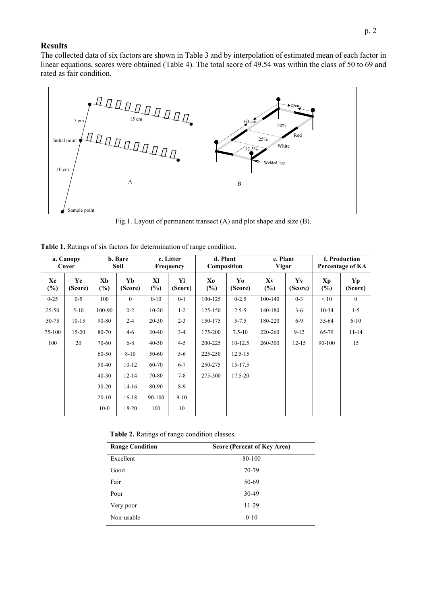# **Results**

The collected data of six factors are shown in Table 3 and by interpolation of estimated mean of each factor in linear equations, scores were obtained (Table 4). The total score of 49.54 was within the class of 50 to 69 and rated as fair condition.



Fig.1. Layout of permanent transect (A) and plot shape and size (B).

|  |  |  |  |  | Table 1. Ratings of six factors for determination of range condition. |
|--|--|--|--|--|-----------------------------------------------------------------------|
|--|--|--|--|--|-----------------------------------------------------------------------|

| a. Canopy<br>Cover |               |              | b. Bare<br>Soil |              | c. Litter<br>Frequency | d. Plant<br>Composition |               | e. Plant<br><b>Vigor</b> |               | f. Production<br>Percentage of KA |               |  |
|--------------------|---------------|--------------|-----------------|--------------|------------------------|-------------------------|---------------|--------------------------|---------------|-----------------------------------|---------------|--|
| Xc<br>$(\%)$       | Yc<br>(Score) | Xb<br>$(\%)$ | Yb<br>(Score)   | XI<br>$(\%)$ | Yl<br>(Score)          | Xo<br>$(\%)$            | Yo<br>(Score) | Xv<br>$(\%)$             | Yv<br>(Score) | Xp<br>$(\%)$                      | Yp<br>(Score) |  |
| $0 - 25$           | $0 - 5$       | 100          | $\theta$        | $0-10$       | $0 - 1$                | 100-125                 | $0 - 2.5$     | 100-140                  | $0 - 3$       | < 10                              | $\theta$      |  |
| $25 - 50$          | $5 - 10$      | 100-90       | $0 - 2$         | $10-20$      | $1 - 2$                | 125-150                 | $2.5 - 5$     | 140-180                  | $3-6$         | $10 - 34$                         | $1 - 5$       |  |
| 50-75              | $10-15$       | 90-80        | $2 - 4$         | $20 - 30$    | $2 - 3$                | 150-175                 | $5 - 7.5$     | 180-220                  | $6-9$         | $35 - 64$                         | $6 - 10$      |  |
| 75-100             | $15 - 20$     | 80-70        | $4 - 6$         | $30 - 40$    | $3-4$                  | 175-200                 | $7.5 - 10$    | 220-260                  | $9 - 12$      | 65-79                             | $11 - 14$     |  |
| 100                | 20            | 70-60        | $6 - 8$         | $40 - 50$    | $4 - 5$                | 200-225                 | $10-12.5$     | 260-300                  | $12 - 15$     | 90-100                            | 15            |  |
|                    |               | $60 - 50$    | $8 - 10$        | 50-60        | $5 - 6$                | 225-250                 | $12.5 - 15$   |                          |               |                                   |               |  |
|                    |               | $50-40$      | $10-12$         | 60-70        | $6 - 7$                | 250-275                 | $15 - 17.5$   |                          |               |                                   |               |  |
|                    |               | $40 - 30$    | $12 - 14$       | 70-80        | $7 - 8$                | 275-300                 | $17.5 - 20$   |                          |               |                                   |               |  |
|                    |               | $30 - 20$    | $14-16$         | 80-90        | 8-9                    |                         |               |                          |               |                                   |               |  |
|                    |               | $20-10$      | $16-18$         | 90-100       | $9-10$                 |                         |               |                          |               |                                   |               |  |
|                    |               | $10-0$       | 18-20           | 100          | 10                     |                         |               |                          |               |                                   |               |  |

| Table 2. Ratings of range condition classes. |  |
|----------------------------------------------|--|
|----------------------------------------------|--|

| <b>Range Condition</b> | Score (Percent of Key Area) |
|------------------------|-----------------------------|
| Excellent              | 80-100                      |
| Good                   | 70-79                       |
| Fair                   | 50-69                       |
| Poor                   | 30-49                       |
| Very poor              | 11-29                       |
| Non-usable             | $0 - 10$                    |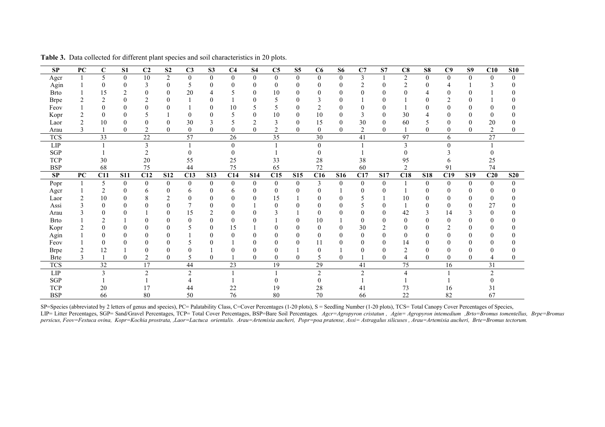| SP                     | PC           | $\mathbf C$     | S <sub>1</sub> | C <sub>2</sub>   | S <sub>2</sub> | C <sub>3</sub> | S <sub>3</sub>   | C <sub>4</sub>  | <b>S4</b>      | C5             | S <sub>5</sub> | C6              | <b>S6</b>        | C7             | S7             | C8              | S8           | C9             | S <sub>9</sub> | C10             | <b>S10</b> |
|------------------------|--------------|-----------------|----------------|------------------|----------------|----------------|------------------|-----------------|----------------|----------------|----------------|-----------------|------------------|----------------|----------------|-----------------|--------------|----------------|----------------|-----------------|------------|
| Agcr                   | $\mathbf{1}$ | 5               | $\mathbf{0}$   | 10               | $\overline{2}$ | $\mathbf{0}$   | $\mathbf{0}$     | $\mathbf{0}$    | $\theta$       | $\mathbf{0}$   | $\mathbf{0}$   | $\overline{0}$  | $\overline{0}$   | 3              |                | $\overline{2}$  | $\mathbf{0}$ | $\overline{0}$ | $\mathbf{0}$   | $\Omega$        | $\Omega$   |
| Agin                   |              | $\Omega$        |                | 3                | $\overline{0}$ | 5              | $\theta$         | 0               | $\theta$       | $\overline{0}$ | 0              | 0               |                  |                | 0              |                 | 0            |                |                |                 |            |
| <b>Brto</b>            |              | 15              |                | 0                | $\overline{0}$ | 20             | 4                |                 | $\Omega$       | 10             | 0              | 0               | 0                | 0              | 0              |                 |              | 0              |                |                 |            |
| <b>Brpe</b>            | 2            | $\overline{c}$  |                | 2                |                |                |                  |                 |                |                |                |                 |                  |                |                |                 |              | C              |                |                 |            |
| Feov                   |              |                 |                | 0                |                |                | 0                | 10              |                | 5              | 0              |                 |                  | $\theta$       | 0              |                 | $\theta$     | 0              |                |                 |            |
| Kopr                   |              | $\Omega$        |                |                  |                | $\theta$       | 0                |                 | $\Omega$       | 10             | 0              | 10              | $\boldsymbol{0}$ | 3              | 0              | 30              |              |                |                |                 |            |
| Laor                   | 2            | 10              |                |                  | $\theta$       | 30             |                  |                 | $\mathfrak{D}$ | 3              | $\theta$       | 15              | 0                | 30             | $\mathbf{0}$   | 60              |              |                |                | 20              |            |
| Arau                   | 3            |                 | $\theta$       | 2                | $\theta$       | $\theta$       | $\mathbf{0}$     | $\theta$        | $\theta$       | 2              | $\theta$       | $\theta$        | $\mathbf{0}$     | $\overline{2}$ | $\theta$       |                 | $\theta$     | $\theta$       | $\theta$       | $\overline{2}$  |            |
| <b>TCS</b>             |              | 33              |                | 22               |                | 57             |                  | 26              |                | 35             |                | 30              |                  | 41             |                | 97              |              | 6              |                | 27              |            |
| LIP                    |              |                 |                | 3                |                |                |                  | $\Omega$        |                |                |                | $\Omega$        |                  |                |                | $\overline{3}$  |              | 0              |                |                 |            |
| $\operatorname{SGP}$   |              |                 |                |                  |                |                |                  |                 |                |                |                |                 |                  |                |                |                 |              |                |                |                 |            |
| TCP                    |              | 30              |                | 20               |                | 55             |                  | 25              |                | 33             |                | 28              |                  | 38             |                | 95              |              |                |                | 25              |            |
| <b>BSP</b>             |              | 68              |                | 75               |                | 44             |                  | 75              |                | 65             |                | 72              |                  | 60             |                | $\overline{2}$  |              | 91             |                | 74              |            |
| $\mathbf{S}\mathbf{P}$ | PC           | C11             | <b>S11</b>     | C12              | <b>S12</b>     | C13            | <b>S13</b>       | C14             | S14            | C15            | <b>S15</b>     | C16             | <b>S16</b>       | C17            | <b>S17</b>     | C18             | <b>S18</b>   | C19            | <b>S19</b>     | C20             | <b>S20</b> |
| Popr                   |              | 5               | $\overline{0}$ | $\boldsymbol{0}$ | $\overline{0}$ | $\overline{0}$ | $\mathbf{0}$     | $\theta$        | $\mathbf{0}$   | $\mathbf{0}$   | $\theta$       | 3               | $\mathbf{0}$     | $\mathbf{0}$   | $\overline{0}$ |                 | $\mathbf{0}$ | $\overline{0}$ | $\overline{0}$ | $\theta$        | $\Omega$   |
| Agcr                   |              | $\overline{2}$  |                | 6                | $\theta$       | 6              | $\boldsymbol{0}$ | 6               | $\theta$       | $\mathbf{0}$   |                | 0               |                  |                | 0              |                 | 0            | 0              |                |                 |            |
| Laor                   |              | 10              | ∩              | 8                | $\mathfrak{D}$ | 0              | 0                | 0               | 0              | 15             |                | 0               |                  |                |                | 10              | 0            | 0              |                | 0               |            |
| Assi                   |              | $\theta$        |                |                  |                |                | 0                |                 |                | $\theta$       |                |                 |                  |                | $\Omega$       |                 | 0            | 0              |                | 27              |            |
| Arau                   |              | $\theta$        |                |                  | $\theta$       | 15             |                  | 0               |                |                |                | 0               |                  |                | 0              | 42              | 3            | 14             |                | $\overline{0}$  |            |
| <b>Brto</b>            |              | ↑               |                | 0                | $\theta$       | $\Omega$       | 0                | $\theta$        |                |                |                | 10              |                  | $\Omega$       | 0              | $\mathbf{0}$    | $\theta$     | $\theta$       |                | $\Omega$        |            |
| Kopr                   |              |                 |                |                  |                |                | 0                | 15              |                |                |                | 0               | 0                | 30             | $\mathcal{D}$  | $\theta$        | 0            | $\mathcal{D}$  |                |                 |            |
| Agin                   |              | $\theta$        |                | 0                | $\theta$       |                | 0                | $\Omega$        |                |                | 0              | 0               |                  | $\theta$       | 0              | $\theta$        | 0            | 0              |                | $\mathbf{0}$    |            |
| Feov                   |              |                 |                | 0                |                |                |                  |                 |                |                |                | 11              |                  |                | 0              | 14              | 0            |                |                |                 |            |
| <b>Brpe</b>            | 2            | 12              |                | 0                | 0              |                |                  |                 |                |                |                | 0               |                  |                | 0              | $\overline{2}$  | 0            |                |                |                 |            |
| <b>Brte</b>            | 3            |                 | $\theta$       | $\overline{2}$   | $\theta$       | 5              | $\theta$         |                 | $\Omega$       | $\theta$       | $\theta$       | 5               | $\theta$         |                | 0              | 4               | $\theta$     | 0              | $\theta$       |                 |            |
| <b>TCS</b>             |              | $\overline{32}$ |                | 17               |                | 44             |                  | $\overline{23}$ |                | 19             |                | $\overline{29}$ |                  | 41             |                | $\overline{75}$ |              | 16             |                | $\overline{31}$ |            |
| ${\rm LIP}$            |              | 3               |                | $\overline{c}$   |                | $\overline{2}$ |                  |                 |                |                |                | $\overline{c}$  |                  | $\mathcal{I}$  |                | 4               |              |                |                | $\mathcal{P}$   |            |
| $\operatorname{SGP}$   |              |                 |                |                  |                |                |                  |                 |                |                |                |                 |                  |                |                |                 |              |                |                |                 |            |
| <b>TCP</b>             |              | 20              |                | 17               |                | 44             |                  | 22              |                | 19             |                | 28              |                  | 41             |                | 73              |              | 16             |                | 31              |            |
| <b>BSP</b>             |              | 66              |                | 80               |                | 50             |                  | 76              |                | 80             |                | 70              |                  | 66             |                | 22              |              | 82             |                | 67              |            |

**Table 3.** Data collected for different plant species and soil characteristics in 20 plots.

SP=Species (abbreviated by 2 letters of genus and species), PC= Palatability Class, C=Cover Percentages (1-20 plots), S = Seedling Number (1-20 plots), TCS= Total Canopy Cover Percentages of Species, LIP= Litter Percentages, SGP= Sand/Gravel Percentages, TCP= Total Cover Percentages, BSP=Bare Soil Percentages. Ager=Agropyron cristatun, Agin= Agropyron intemedium , Brto=Bromus tomentellus, Brpe=Bromus *persicus, Feov=Festuca ovina, Kopr=Kochia prostrata, ,Laor=Lactuca orientalis. Arau=Artemisia aucheri, Popr=poa pratense, Assi= Astragalus silicuses , Arau=Artemisia aucheri, Brte=Bromus tectorum.*